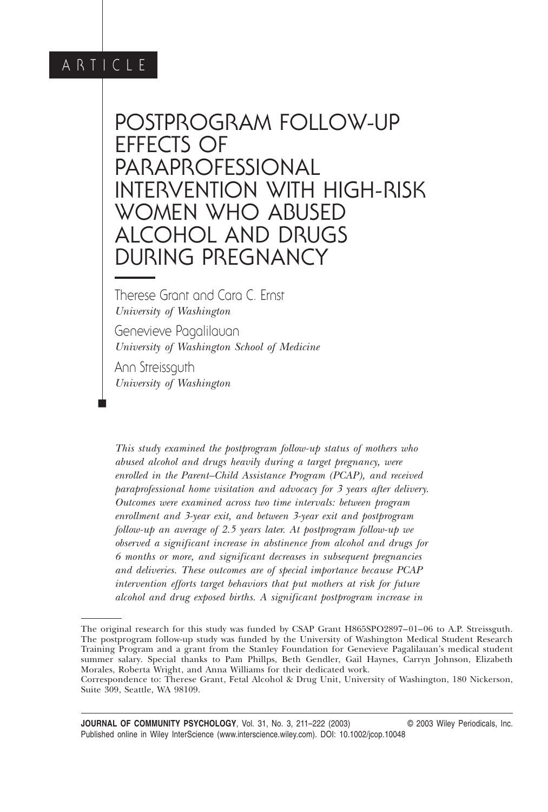Ė

# POSTPROGRAM FOLLOW-UP EFFECTS OF PARAPROFESSIONAL INTERVENTION WITH HIGH-RISK WOMEN WHO ABUSED ALCOHOL AND DRUGS DURING PREGNANCY

Therese Grant and Cara C. Ernst *University of Washington*

Genevieve Pagalilauan *University of Washington School of Medicine*

Ann Streissguth *University of Washington*

*This study examined the postprogram follow-up status of mothers who abused alcohol and drugs heavily during a target pregnancy, were enrolled in the Parent–Child Assistance Program (PCAP), and received paraprofessional home visitation and advocacy for 3 years after delivery. Outcomes were examined across two time intervals: between program enrollment and 3-year exit, and between 3-year exit and postprogram follow-up an average of 2.5 years later. At postprogram follow-up we observed a significant increase in abstinence from alcohol and drugs for 6 months or more, and significant decreases in subsequent pregnancies and deliveries. These outcomes are of special importance because PCAP intervention efforts target behaviors that put mothers at risk for future alcohol and drug exposed births. A significant postprogram increase in*

**JOURNAL OF COMMUNITY PSYCHOLOGY**, Vol. 31, No. 3, 211–222 (2003) © 2003 Wiley Periodicals, Inc. Published online in Wiley InterScience (www.interscience.wiley.com). DOI: 10.1002/jcop.10048

The original research for this study was funded by CSAP Grant H865SPO2897–01–06 to A.P. Streissguth. The postprogram follow-up study was funded by the University of Washington Medical Student Research Training Program and a grant from the Stanley Foundation for Genevieve Pagalilauan's medical student summer salary. Special thanks to Pam Phillps, Beth Gendler, Gail Haynes, Carryn Johnson, Elizabeth Morales, Roberta Wright, and Anna Williams for their dedicated work. Correspondence to: Therese Grant, Fetal Alcohol & Drug Unit, University of Washington, 180 Nickerson, Suite 309, Seattle, WA 98109.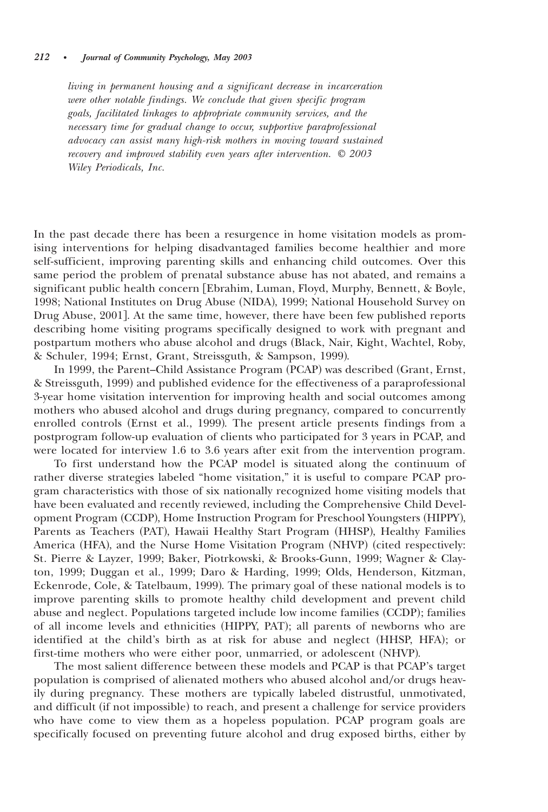#### *212 • Journal of Community Psychology, May 2003*

*living in permanent housing and a significant decrease in incarceration were other notable findings. We conclude that given specific program goals, facilitated linkages to appropriate community services, and the necessary time for gradual change to occur, supportive paraprofessional advocacy can assist many high-risk mothers in moving toward sustained recovery and improved stability even years after intervention. © 2003 Wiley Periodicals, Inc.*

In the past decade there has been a resurgence in home visitation models as promising interventions for helping disadvantaged families become healthier and more self-sufficient, improving parenting skills and enhancing child outcomes. Over this same period the problem of prenatal substance abuse has not abated, and remains a significant public health concern [Ebrahim, Luman, Floyd, Murphy, Bennett, & Boyle, 1998; National Institutes on Drug Abuse (NIDA), 1999; National Household Survey on Drug Abuse, 2001]. At the same time, however, there have been few published reports describing home visiting programs specifically designed to work with pregnant and postpartum mothers who abuse alcohol and drugs (Black, Nair, Kight, Wachtel, Roby, & Schuler, 1994; Ernst, Grant, Streissguth, & Sampson, 1999).

In 1999, the Parent-Child Assistance Program (PCAP) was described (Grant, Ernst, & Streissguth, 1999) and published evidence for the effectiveness of a paraprofessional 3-year home visitation intervention for improving health and social outcomes among mothers who abused alcohol and drugs during pregnancy, compared to concurrently enrolled controls (Ernst et al., 1999). The present article presents findings from a postprogram follow-up evaluation of clients who participated for 3 years in PCAP, and were located for interview 1.6 to 3.6 years after exit from the intervention program.

To first understand how the PCAP model is situated along the continuum of rather diverse strategies labeled "home visitation," it is useful to compare PCAP program characteristics with those of six nationally recognized home visiting models that have been evaluated and recently reviewed, including the Comprehensive Child Development Program (CCDP), Home Instruction Program for Preschool Youngsters (HIPPY), Parents as Teachers (PAT), Hawaii Healthy Start Program (HHSP), Healthy Families America (HFA), and the Nurse Home Visitation Program (NHVP) (cited respectively: St. Pierre & Layzer, 1999; Baker, Piotrkowski, & Brooks-Gunn, 1999; Wagner & Clayton, 1999; Duggan et al., 1999; Daro & Harding, 1999; Olds, Henderson, Kitzman, Eckenrode, Cole, & Tatelbaum, 1999). The primary goal of these national models is to improve parenting skills to promote healthy child development and prevent child abuse and neglect. Populations targeted include low income families (CCDP); families of all income levels and ethnicities (HIPPY, PAT); all parents of newborns who are identified at the child's birth as at risk for abuse and neglect (HHSP, HFA); or first-time mothers who were either poor, unmarried, or adolescent (NHVP).

The most salient difference between these models and PCAP is that PCAP's target population is comprised of alienated mothers who abused alcohol and/or drugs heavily during pregnancy. These mothers are typically labeled distrustful, unmotivated, and difficult (if not impossible) to reach, and present a challenge for service providers who have come to view them as a hopeless population. PCAP program goals are specifically focused on preventing future alcohol and drug exposed births, either by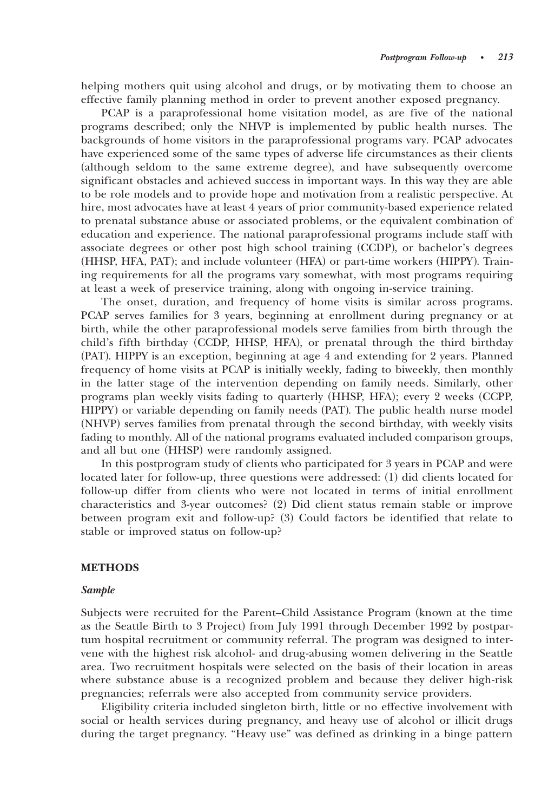helping mothers quit using alcohol and drugs, or by motivating them to choose an effective family planning method in order to prevent another exposed pregnancy.

PCAP is a paraprofessional home visitation model, as are five of the national programs described; only the NHVP is implemented by public health nurses. The backgrounds of home visitors in the paraprofessional programs vary. PCAP advocates have experienced some of the same types of adverse life circumstances as their clients (although seldom to the same extreme degree), and have subsequently overcome significant obstacles and achieved success in important ways. In this way they are able to be role models and to provide hope and motivation from a realistic perspective. At hire, most advocates have at least 4 years of prior community-based experience related to prenatal substance abuse or associated problems, or the equivalent combination of education and experience. The national paraprofessional programs include staff with associate degrees or other post high school training (CCDP), or bachelor's degrees (HHSP, HFA, PAT); and include volunteer (HFA) or part-time workers (HIPPY). Training requirements for all the programs vary somewhat, with most programs requiring at least a week of preservice training, along with ongoing in-service training.

The onset, duration, and frequency of home visits is similar across programs. PCAP serves families for 3 years, beginning at enrollment during pregnancy or at birth, while the other paraprofessional models serve families from birth through the child's fifth birthday (CCDP, HHSP, HFA), or prenatal through the third birthday (PAT). HIPPY is an exception, beginning at age 4 and extending for 2 years. Planned frequency of home visits at PCAP is initially weekly, fading to biweekly, then monthly in the latter stage of the intervention depending on family needs. Similarly, other programs plan weekly visits fading to quarterly (HHSP, HFA); every 2 weeks (CCPP, HIPPY) or variable depending on family needs (PAT). The public health nurse model (NHVP) serves families from prenatal through the second birthday, with weekly visits fading to monthly. All of the national programs evaluated included comparison groups, and all but one (HHSP) were randomly assigned.

In this postprogram study of clients who participated for 3 years in PCAP and were located later for follow-up, three questions were addressed:  $(1)$  did clients located for follow-up differ from clients who were not located in terms of initial enrollment characteristics and 3-year outcomes?  $(2)$  Did client status remain stable or improve between program exit and follow-up?  $(3)$  Could factors be identified that relate to stable or improved status on follow-up?

## **METHODS**

## *Sample*

Subjects were recruited for the Parent–Child Assistance Program (known at the time as the Seattle Birth to 3 Project) from July 1991 through December 1992 by postpartum hospital recruitment or community referral. The program was designed to intervene with the highest risk alcohol- and drug-abusing women delivering in the Seattle area. Two recruitment hospitals were selected on the basis of their location in areas where substance abuse is a recognized problem and because they deliver high-risk pregnancies; referrals were also accepted from community service providers.

Eligibility criteria included singleton birth, little or no effective involvement with social or health services during pregnancy, and heavy use of alcohol or illicit drugs during the target pregnancy. "Heavy use" was defined as drinking in a binge pattern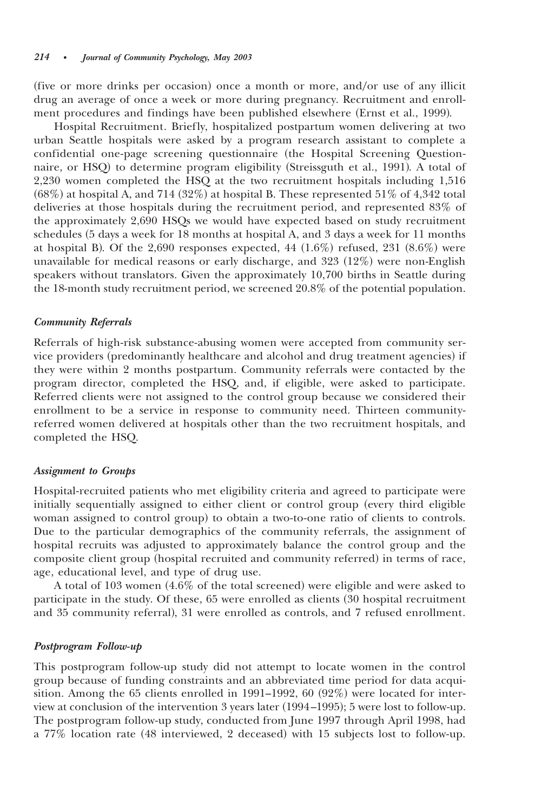(five or more drinks per occasion) once a month or more, and/or use of any illicit drug an average of once a week or more during pregnancy. Recruitment and enrollment procedures and findings have been published elsewhere (Ernst et al., 1999).

Hospital Recruitment. Briefly, hospitalized postpartum women delivering at two urban Seattle hospitals were asked by a program research assistant to complete a confidential one-page screening questionnaire (the Hospital Screening Questionnaire, or HSQ) to determine program eligibility (Streissguth et al., 1991). A total of 2,230 women completed the HSQ at the two recruitment hospitals including 1,516  $(68%)$  at hospital A, and 714  $(32%)$  at hospital B. These represented 51% of 4,342 total deliveries at those hospitals during the recruitment period, and represented 83% of the approximately 2,690 HSQs we would have expected based on study recruitment schedules  $(5$  days a week for 18 months at hospital A, and 3 days a week for 11 months at hospital B). Of the  $2,690$  responses expected,  $44~(1.6\%)$  refused,  $231~(8.6\%)$  were unavailable for medical reasons or early discharge, and  $323~(12%)$  were non-English speakers without translators. Given the approximately 10,700 births in Seattle during the 18-month study recruitment period, we screened 20.8% of the potential population.

# *Community Referrals*

Referrals of high-risk substance-abusing women were accepted from community service providers (predominantly healthcare and alcohol and drug treatment agencies) if they were within 2 months postpartum. Community referrals were contacted by the program director, completed the HSQ, and, if eligible, were asked to participate. Referred clients were not assigned to the control group because we considered their enrollment to be a service in response to community need. Thirteen communityreferred women delivered at hospitals other than the two recruitment hospitals, and completed the HSQ.

### *Assignment to Groups*

Hospital-recruited patients who met eligibility criteria and agreed to participate were initially sequentially assigned to either client or control group (every third eligible woman assigned to control group) to obtain a two-to-one ratio of clients to controls. Due to the particular demographics of the community referrals, the assignment of hospital recruits was adjusted to approximately balance the control group and the composite client group (hospital recruited and community referred) in terms of race, age, educational level, and type of drug use.

A total of 103 women  $(4.6\%$  of the total screened) were eligible and were asked to participate in the study. Of these,  $65$  were enrolled as clients  $(30$  hospital recruitment and 35 community referral), 31 were enrolled as controls, and 7 refused enrollment.

### *Postprogram Follow-up*

This postprogram follow-up study did not attempt to locate women in the control group because of funding constraints and an abbreviated time period for data acquisition. Among the 65 clients enrolled in 1991–1992, 60  $(92%)$  were located for interview at conclusion of the intervention 3 years later  $(1994 - 1995)$ ; 5 were lost to follow-up. The postprogram follow-up study, conducted from June 1997 through April 1998, had a  $77\%$  location rate  $(48$  interviewed, 2 deceased) with 15 subjects lost to follow-up.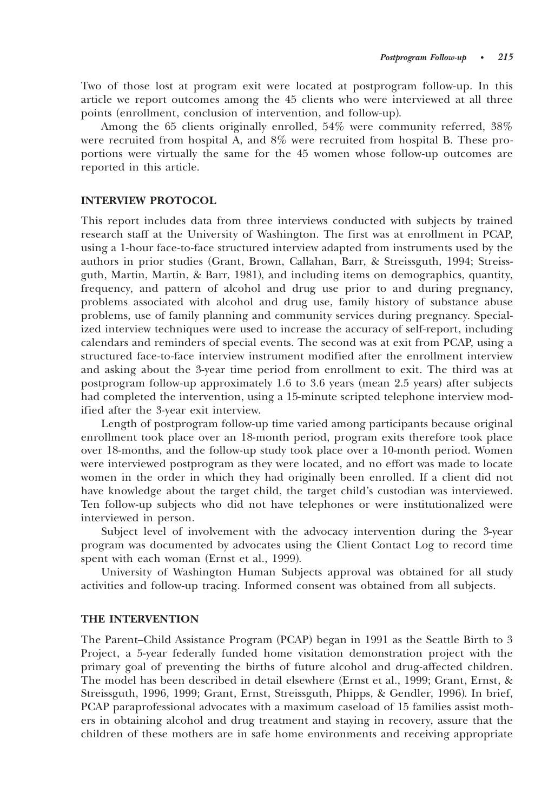Two of those lost at program exit were located at postprogram follow-up. In this article we report outcomes among the 45 clients who were interviewed at all three points (enrollment, conclusion of intervention, and follow-up).

Among the 65 clients originally enrolled, 54% were community referred, 38% were recruited from hospital A, and 8% were recruited from hospital B. These proportions were virtually the same for the 45 women whose follow-up outcomes are reported in this article.

# **INTERVIEW PROTOCOL**

This report includes data from three interviews conducted with subjects by trained research staff at the University of Washington. The first was at enrollment in PCAP, using a 1-hour face-to-face structured interview adapted from instruments used by the authors in prior studies (Grant, Brown, Callahan, Barr, & Streissguth, 1994; Streissguth, Martin, Martin, & Barr, 1981), and including items on demographics, quantity, frequency, and pattern of alcohol and drug use prior to and during pregnancy, problems associated with alcohol and drug use, family history of substance abuse problems, use of family planning and community services during pregnancy. Specialized interview techniques were used to increase the accuracy of self-report, including calendars and reminders of special events. The second was at exit from PCAP, using a structured face-to-face interview instrument modified after the enrollment interview and asking about the 3-year time period from enrollment to exit. The third was at postprogram follow-up approximately  $1.6$  to  $3.6$  years (mean 2.5 years) after subjects had completed the intervention, using a 15-minute scripted telephone interview modified after the 3-year exit interview.

Length of postprogram follow-up time varied among participants because original enrollment took place over an 18-month period, program exits therefore took place over 18-months, and the follow-up study took place over a 10-month period. Women were interviewed postprogram as they were located, and no effort was made to locate women in the order in which they had originally been enrolled. If a client did not have knowledge about the target child, the target child's custodian was interviewed. Ten follow-up subjects who did not have telephones or were institutionalized were interviewed in person.

Subject level of involvement with the advocacy intervention during the 3-year program was documented by advocates using the Client Contact Log to record time spent with each woman (Ernst et al., 1999).

University of Washington Human Subjects approval was obtained for all study activities and follow-up tracing. Informed consent was obtained from all subjects.

# **THE INTERVENTION**

The Parent–Child Assistance Program  $(PCAP)$  began in 1991 as the Seattle Birth to 3 Project, a 5-year federally funded home visitation demonstration project with the primary goal of preventing the births of future alcohol and drug-affected children. The model has been described in detail elsewhere (Ernst et al., 1999; Grant, Ernst, & Streissguth, 1996, 1999; Grant, Ernst, Streissguth, Phipps, & Gendler, 1996). In brief, PCAP paraprofessional advocates with a maximum caseload of 15 families assist mothers in obtaining alcohol and drug treatment and staying in recovery, assure that the children of these mothers are in safe home environments and receiving appropriate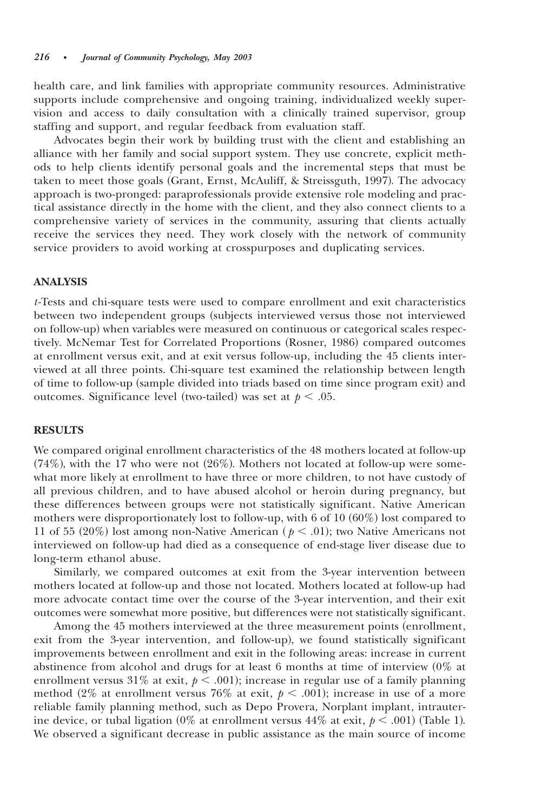health care, and link families with appropriate community resources. Administrative supports include comprehensive and ongoing training, individualized weekly supervision and access to daily consultation with a clinically trained supervisor, group staffing and support, and regular feedback from evaluation staff.

Advocates begin their work by building trust with the client and establishing an alliance with her family and social support system. They use concrete, explicit methods to help clients identify personal goals and the incremental steps that must be taken to meet those goals (Grant, Ernst, McAuliff, & Streissguth, 1997). The advocacy approach is two-pronged: paraprofessionals provide extensive role modeling and practical assistance directly in the home with the client, and they also connect clients to a comprehensive variety of services in the community, assuring that clients actually receive the services they need. They work closely with the network of community service providers to avoid working at crosspurposes and duplicating services.

# **ANALYSIS**

*t*-Tests and chi-square tests were used to compare enrollment and exit characteristics between two independent groups (subjects interviewed versus those not interviewed on follow-up! when variables were measured on continuous or categorical scales respectively. McNemar Test for Correlated Proportions (Rosner, 1986) compared outcomes at enrollment versus exit, and at exit versus follow-up, including the 45 clients interviewed at all three points. Chi-square test examined the relationship between length of time to follow-up (sample divided into triads based on time since program exit) and outcomes. Significance level (two-tailed) was set at  $p < .05$ .

### **RESULTS**

We compared original enrollment characteristics of the 48 mothers located at follow-up  $(74%)$ , with the 17 who were not  $(26%)$ . Mothers not located at follow-up were somewhat more likely at enrollment to have three or more children, to not have custody of all previous children, and to have abused alcohol or heroin during pregnancy, but these differences between groups were not statistically significant. Native American mothers were disproportionately lost to follow-up, with  $6$  of  $10~(60%)$  lost compared to 11 of 55  $(20\%)$  lost among non-Native American ( $p < .01$ ); two Native Americans not interviewed on follow-up had died as a consequence of end-stage liver disease due to long-term ethanol abuse.

Similarly, we compared outcomes at exit from the 3-year intervention between mothers located at follow-up and those not located. Mothers located at follow-up had more advocate contact time over the course of the 3-year intervention, and their exit outcomes were somewhat more positive, but differences were not statistically significant.

Among the 45 mothers interviewed at the three measurement points (enrollment, exit from the 3-year intervention, and follow-up), we found statistically significant improvements between enrollment and exit in the following areas: increase in current abstinence from alcohol and drugs for at least 6 months at time of interview  $(0\%$  at enrollment versus 31% at exit,  $p < .001$ ; increase in regular use of a family planning method  $(2\%$  at enrollment versus 76% at exit,  $p < .001$ ; increase in use of a more reliable family planning method, such as Depo Provera, Norplant implant, intrauterine device, or tubal ligation  $(0\%$  at enrollment versus 44% at exit,  $p < .001$ ) (Table 1). We observed a significant decrease in public assistance as the main source of income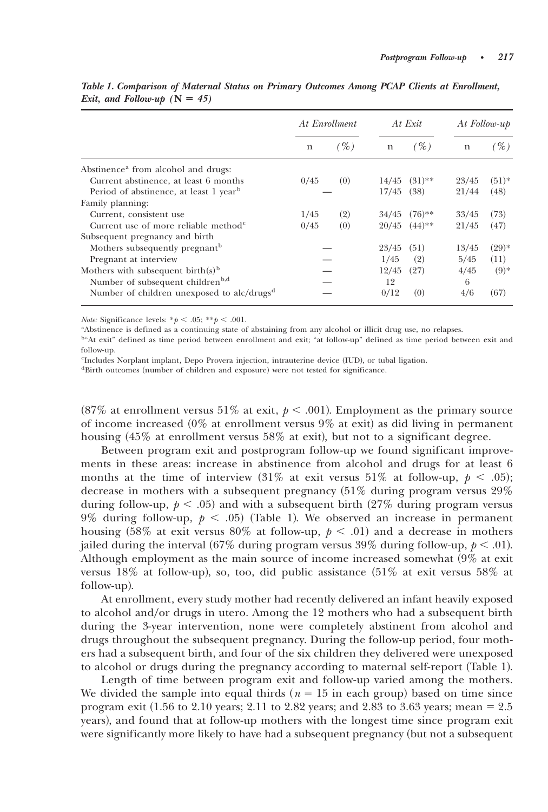|                                                               | At Enrollment |        | At Exit     |           | At Follow-up |         |
|---------------------------------------------------------------|---------------|--------|-------------|-----------|--------------|---------|
|                                                               | $\mathbf n$   | $($ %) | $\mathbf n$ | $($ %)    | n            | $($ %)  |
| Abstinence <sup>a</sup> from alcohol and drugs:               |               |        |             |           |              |         |
| Current abstinence, at least 6 months                         | 0/45          | (0)    | 14/45       | $(31)$ ** | 23/45        | $(51)*$ |
| Period of abstinence, at least 1 year <sup>b</sup>            |               |        | 17/45       | (38)      | 21/44        | (48)    |
| Family planning:                                              |               |        |             |           |              |         |
| Current, consistent use                                       | 1/45          | (2)    | 34/45       | $(76)$ ** | 33/45        | (73)    |
| Current use of more reliable method <sup><math>c</math></sup> | 0/45          | (0)    | 20/45       | $(44)$ ** | 21/45        | (47)    |
| Subsequent pregnancy and birth                                |               |        |             |           |              |         |
| Mothers subsequently pregnant <sup>b</sup>                    |               |        | 23/45       | (51)      | 13/45        | $(29)*$ |
| Pregnant at interview                                         |               |        | 1/45        | (2)       | 5/45         | (11)    |
| Mothers with subsequent birth $(s)^b$                         |               |        | 12/45       | (27)      | 4/45         | $(9)*$  |
| Number of subsequent children <sup>b,d</sup>                  |               |        | 12          |           | 6            |         |
| Number of children unexposed to alc/drugs <sup>d</sup>        |               |        | 0/12        | (0)       | 4/6          | (67)    |

*Table 1. Comparison of Maternal Status on Primary Outcomes Among PCAP Clients at Enrollment, Exit, and Follow-up*  $(N = 45)$ 

*Note:* Significance levels: \* $p < .05$ ; \*\* $p < .001$ .

a Abstinence is defined as a continuing state of abstaining from any alcohol or illicit drug use, no relapses.

b"At exit" defined as time period between enrollment and exit; "at follow-up" defined as time period between exit and follow-up.

'Includes Norplant implant, Depo Provera injection, intrauterine device (IUD), or tubal ligation.

<sup>d</sup>Birth outcomes (number of children and exposure) were not tested for significance.

 $(87\%$  at enrollment versus 51% at exit,  $p < .001$ ). Employment as the primary source of income increased  $(0\%$  at enrollment versus  $9\%$  at exit) as did living in permanent housing  $(45\%$  at enrollment versus  $58\%$  at exit), but not to a significant degree.

Between program exit and postprogram follow-up we found significant improvements in these areas: increase in abstinence from alcohol and drugs for at least 6 months at the time of interview  $(31\%$  at exit versus 51% at follow-up,  $p < .05$ ; decrease in mothers with a subsequent pregnancy  $(51\%$  during program versus 29% during follow-up,  $p < .05$  and with a subsequent birth  $(27\%$  during program versus 9% during follow-up,  $p < .05$ ) (Table 1). We observed an increase in permanent housing  $(58\%$  at exit versus  $80\%$  at follow-up,  $p < .01$  and a decrease in mothers jailed during the interval  $(67\%$  during program versus 39% during follow-up,  $p < .01$ ). Although employment as the main source of income increased somewhat  $(9\%$  at exit versus 18% at follow-up), so, too, did public assistance  $(51%$  at exit versus 58% at follow-up).

At enrollment, every study mother had recently delivered an infant heavily exposed to alcohol and/or drugs in utero. Among the 12 mothers who had a subsequent birth during the 3-year intervention, none were completely abstinent from alcohol and drugs throughout the subsequent pregnancy. During the follow-up period, four mothers had a subsequent birth, and four of the six children they delivered were unexposed to alcohol or drugs during the pregnancy according to maternal self-report (Table 1).

Length of time between program exit and follow-up varied among the mothers. We divided the sample into equal thirds  $(n = 15$  in each group) based on time since program exit (1.56 to 2.10 years; 2.11 to 2.82 years; and 2.83 to 3.63 years; mean =  $2.5$ years), and found that at follow-up mothers with the longest time since program exit were significantly more likely to have had a subsequent pregnancy (but not a subsequent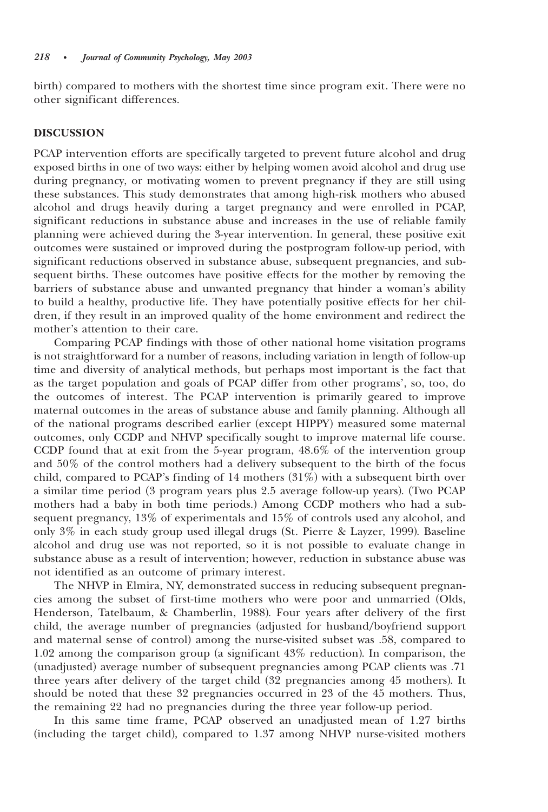birth) compared to mothers with the shortest time since program exit. There were no other significant differences.

## **DISCUSSION**

PCAP intervention efforts are specifically targeted to prevent future alcohol and drug exposed births in one of two ways: either by helping women avoid alcohol and drug use during pregnancy, or motivating women to prevent pregnancy if they are still using these substances. This study demonstrates that among high-risk mothers who abused alcohol and drugs heavily during a target pregnancy and were enrolled in PCAP, significant reductions in substance abuse and increases in the use of reliable family planning were achieved during the 3-year intervention. In general, these positive exit outcomes were sustained or improved during the postprogram follow-up period, with significant reductions observed in substance abuse, subsequent pregnancies, and subsequent births. These outcomes have positive effects for the mother by removing the barriers of substance abuse and unwanted pregnancy that hinder a woman's ability to build a healthy, productive life. They have potentially positive effects for her children, if they result in an improved quality of the home environment and redirect the mother's attention to their care.

Comparing PCAP findings with those of other national home visitation programs is not straightforward for a number of reasons, including variation in length of follow-up time and diversity of analytical methods, but perhaps most important is the fact that as the target population and goals of PCAP differ from other programs', so, too, do the outcomes of interest. The PCAP intervention is primarily geared to improve maternal outcomes in the areas of substance abuse and family planning. Although all of the national programs described earlier (except HIPPY) measured some maternal outcomes, only CCDP and NHVP specifically sought to improve maternal life course. CCDP found that at exit from the 5-year program, 48.6% of the intervention group and 50% of the control mothers had a delivery subsequent to the birth of the focus child, compared to PCAP's finding of 14 mothers  $(31%)$  with a subsequent birth over a similar time period (3 program years plus 2.5 average follow-up years). (Two PCAP mothers had a baby in both time periods.! Among CCDP mothers who had a subsequent pregnancy, 13% of experimentals and 15% of controls used any alcohol, and only  $3\%$  in each study group used illegal drugs (St. Pierre & Layzer, 1999). Baseline alcohol and drug use was not reported, so it is not possible to evaluate change in substance abuse as a result of intervention; however, reduction in substance abuse was not identified as an outcome of primary interest.

The NHVP in Elmira, NY, demonstrated success in reducing subsequent pregnancies among the subset of first-time mothers who were poor and unmarried (Olds, Henderson, Tatelbaum, & Chamberlin, 1988). Four years after delivery of the first child, the average number of pregnancies (adjusted for husband/boyfriend support and maternal sense of control) among the nurse-visited subset was .58, compared to 1.02 among the comparison group (a significant  $43\%$  reduction). In comparison, the ~unadjusted! average number of subsequent pregnancies among PCAP clients was .71 three years after delivery of the target child  $(32$  pregnancies among 45 mothers). It should be noted that these 32 pregnancies occurred in 23 of the 45 mothers. Thus, the remaining 22 had no pregnancies during the three year follow-up period.

In this same time frame, PCAP observed an unadjusted mean of 1.27 births (including the target child), compared to 1.37 among NHVP nurse-visited mothers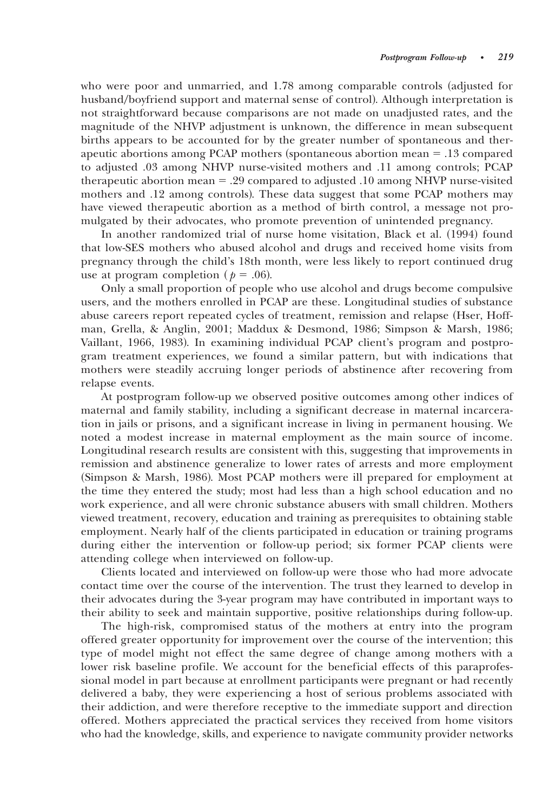who were poor and unmarried, and 1.78 among comparable controls (adjusted for husband/boyfriend support and maternal sense of control). Although interpretation is not straightforward because comparisons are not made on unadjusted rates, and the magnitude of the NHVP adjustment is unknown, the difference in mean subsequent births appears to be accounted for by the greater number of spontaneous and therapeutic abortions among PCAP mothers (spontaneous abortion mean  $= .13$  compared to adjusted .03 among NHVP nurse-visited mothers and .11 among controls; PCAP therapeutic abortion mean - .29 compared to adjusted .10 among NHVP nurse-visited mothers and .12 among controls). These data suggest that some PCAP mothers may have viewed therapeutic abortion as a method of birth control, a message not promulgated by their advocates, who promote prevention of unintended pregnancy.

In another randomized trial of nurse home visitation, Black et al. (1994) found that low-SES mothers who abused alcohol and drugs and received home visits from pregnancy through the child's 18th month, were less likely to report continued drug use at program completion ( $p = .06$ ).

Only a small proportion of people who use alcohol and drugs become compulsive users, and the mothers enrolled in PCAP are these. Longitudinal studies of substance abuse careers report repeated cycles of treatment, remission and relapse (Hser, Hoffman, Grella, & Anglin, 2001; Maddux & Desmond, 1986; Simpson & Marsh, 1986; Vaillant, 1966, 1983). In examining individual PCAP client's program and postprogram treatment experiences, we found a similar pattern, but with indications that mothers were steadily accruing longer periods of abstinence after recovering from relapse events.

At postprogram follow-up we observed positive outcomes among other indices of maternal and family stability, including a significant decrease in maternal incarceration in jails or prisons, and a significant increase in living in permanent housing. We noted a modest increase in maternal employment as the main source of income. Longitudinal research results are consistent with this, suggesting that improvements in remission and abstinence generalize to lower rates of arrests and more employment (Simpson & Marsh, 1986). Most PCAP mothers were ill prepared for employment at the time they entered the study; most had less than a high school education and no work experience, and all were chronic substance abusers with small children. Mothers viewed treatment, recovery, education and training as prerequisites to obtaining stable employment. Nearly half of the clients participated in education or training programs during either the intervention or follow-up period; six former PCAP clients were attending college when interviewed on follow-up.

Clients located and interviewed on follow-up were those who had more advocate contact time over the course of the intervention. The trust they learned to develop in their advocates during the 3-year program may have contributed in important ways to their ability to seek and maintain supportive, positive relationships during follow-up.

The high-risk, compromised status of the mothers at entry into the program offered greater opportunity for improvement over the course of the intervention; this type of model might not effect the same degree of change among mothers with a lower risk baseline profile. We account for the beneficial effects of this paraprofessional model in part because at enrollment participants were pregnant or had recently delivered a baby, they were experiencing a host of serious problems associated with their addiction, and were therefore receptive to the immediate support and direction offered. Mothers appreciated the practical services they received from home visitors who had the knowledge, skills, and experience to navigate community provider networks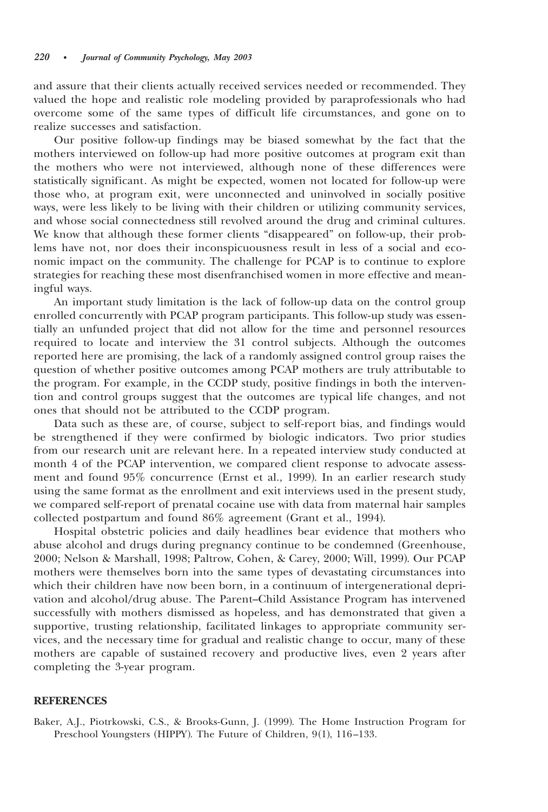and assure that their clients actually received services needed or recommended. They valued the hope and realistic role modeling provided by paraprofessionals who had overcome some of the same types of difficult life circumstances, and gone on to realize successes and satisfaction.

Our positive follow-up findings may be biased somewhat by the fact that the mothers interviewed on follow-up had more positive outcomes at program exit than the mothers who were not interviewed, although none of these differences were statistically significant. As might be expected, women not located for follow-up were those who, at program exit, were unconnected and uninvolved in socially positive ways, were less likely to be living with their children or utilizing community services, and whose social connectedness still revolved around the drug and criminal cultures. We know that although these former clients "disappeared" on follow-up, their problems have not, nor does their inconspicuousness result in less of a social and economic impact on the community. The challenge for PCAP is to continue to explore strategies for reaching these most disenfranchised women in more effective and meaningful ways.

An important study limitation is the lack of follow-up data on the control group enrolled concurrently with PCAP program participants. This follow-up study was essentially an unfunded project that did not allow for the time and personnel resources required to locate and interview the 31 control subjects. Although the outcomes reported here are promising, the lack of a randomly assigned control group raises the question of whether positive outcomes among PCAP mothers are truly attributable to the program. For example, in the CCDP study, positive findings in both the intervention and control groups suggest that the outcomes are typical life changes, and not ones that should not be attributed to the CCDP program.

Data such as these are, of course, subject to self-report bias, and findings would be strengthened if they were confirmed by biologic indicators. Two prior studies from our research unit are relevant here. In a repeated interview study conducted at month 4 of the PCAP intervention, we compared client response to advocate assessment and found 95% concurrence (Ernst et al., 1999). In an earlier research study using the same format as the enrollment and exit interviews used in the present study, we compared self-report of prenatal cocaine use with data from maternal hair samples collected postpartum and found 86% agreement (Grant et al., 1994).

Hospital obstetric policies and daily headlines bear evidence that mothers who abuse alcohol and drugs during pregnancy continue to be condemned (Greenhouse, 2000; Nelson & Marshall, 1998; Paltrow, Cohen, & Carey, 2000; Will, 1999). Our PCAP mothers were themselves born into the same types of devastating circumstances into which their children have now been born, in a continuum of intergenerational deprivation and alcohol/drug abuse. The Parent–Child Assistance Program has intervened successfully with mothers dismissed as hopeless, and has demonstrated that given a supportive, trusting relationship, facilitated linkages to appropriate community services, and the necessary time for gradual and realistic change to occur, many of these mothers are capable of sustained recovery and productive lives, even 2 years after completing the 3-year program.

### **REFERENCES**

Baker, A.J., Piotrkowski, C.S., & Brooks-Gunn, J. (1999). The Home Instruction Program for Preschool Youngsters (HIPPY). The Future of Children, 9(1), 116-133.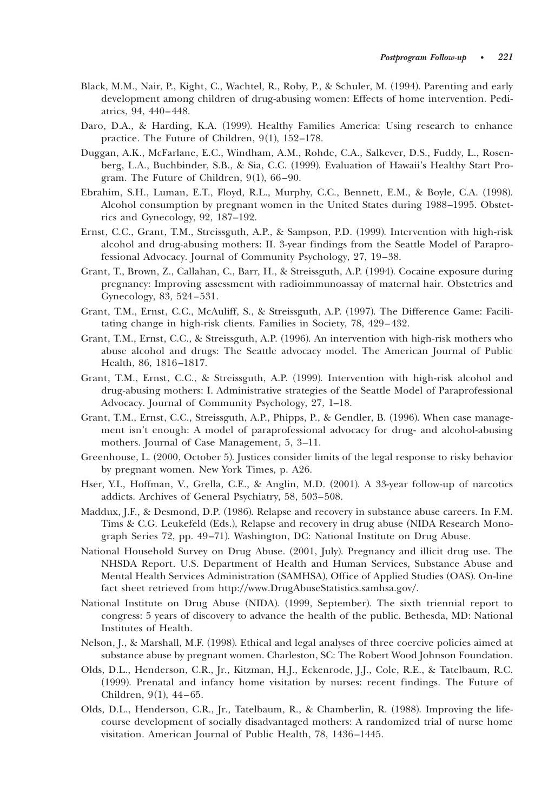- Black, M.M., Nair, P., Kight, C., Wachtel, R., Roby, P., & Schuler, M. (1994). Parenting and early development among children of drug-abusing women: Effects of home intervention. Pediatrics, 94, 440–448.
- Daro, D.A., & Harding, K.A. (1999). Healthy Families America: Using research to enhance practice. The Future of Children,  $9(1)$ ,  $152-178$ .
- Duggan, A.K., McFarlane, E.C., Windham, A.M., Rohde, C.A., Salkever, D.S., Fuddy, L., Rosenberg, L.A., Buchbinder, S.B., & Sia, C.C. (1999). Evaluation of Hawaii's Healthy Start Program. The Future of Children,  $9(1)$ ,  $66-90$ .
- Ebrahim, S.H., Luman, E.T., Floyd, R.L., Murphy, C.C., Bennett, E.M., & Boyle, C.A. (1998). Alcohol consumption by pregnant women in the United States during 1988–1995. Obstetrics and Gynecology, 92, 187–192.
- Ernst, C.C., Grant, T.M., Streissguth, A.P., & Sampson, P.D. (1999). Intervention with high-risk alcohol and drug-abusing mothers: II. 3-year findings from the Seattle Model of Paraprofessional Advocacy. Journal of Community Psychology, 27, 19–38.
- Grant, T., Brown, Z., Callahan, C., Barr, H., & Streissguth, A.P. (1994). Cocaine exposure during pregnancy: Improving assessment with radioimmunoassay of maternal hair. Obstetrics and Gynecology, 83, 524 – 531.
- Grant, T.M., Ernst, C.C., McAuliff, S., & Streissguth, A.P. (1997). The Difference Game: Facilitating change in high-risk clients. Families in Society, 78, 429– 432.
- Grant, T.M., Ernst, C.C., & Streissguth, A.P. (1996). An intervention with high-risk mothers who abuse alcohol and drugs: The Seattle advocacy model. The American Journal of Public Health, 86, 1816 –1817.
- Grant, T.M., Ernst, C.C., & Streissguth, A.P. (1999). Intervention with high-risk alcohol and drug-abusing mothers: I. Administrative strategies of the Seattle Model of Paraprofessional Advocacy. Journal of Community Psychology, 27, 1–18.
- Grant, T.M., Ernst, C.C., Streissguth, A.P., Phipps, P., & Gendler, B. (1996). When case management isn't enough: A model of paraprofessional advocacy for drug- and alcohol-abusing mothers. Journal of Case Management, 5, 3–11.
- Greenhouse, L. (2000, October 5). Justices consider limits of the legal response to risky behavior by pregnant women. New York Times, p. A26.
- Hser, Y.I., Hoffman, V., Grella, C.E., & Anglin, M.D. (2001). A 33-year follow-up of narcotics addicts. Archives of General Psychiatry, 58, 503-508.
- Maddux, J.F., & Desmond, D.P. (1986). Relapse and recovery in substance abuse careers. In F.M. Tims & C.G. Leukefeld (Eds.), Relapse and recovery in drug abuse (NIDA Research Monograph Series 72, pp. 49–71!. Washington, DC: National Institute on Drug Abuse.
- National Household Survey on Drug Abuse.  $(2001, \text{July})$ . Pregnancy and illicit drug use. The NHSDA Report. U.S. Department of Health and Human Services, Substance Abuse and Mental Health Services Administration (SAMHSA), Office of Applied Studies (OAS). On-line fact sheet retrieved from http://www.DrugAbuseStatistics.samhsa.gov/.
- National Institute on Drug Abuse (NIDA). (1999, September). The sixth triennial report to congress: 5 years of discovery to advance the health of the public. Bethesda, MD: National Institutes of Health.
- Nelson, J., & Marshall, M.F. (1998). Ethical and legal analyses of three coercive policies aimed at substance abuse by pregnant women. Charleston, SC: The Robert Wood Johnson Foundation.
- Olds, D.L., Henderson, C.R., Jr., Kitzman, H.J., Eckenrode, J.J., Cole, R.E., & Tatelbaum, R.C. (1999). Prenatal and infancy home visitation by nurses: recent findings. The Future of Children,  $9(1)$ ,  $44 - 65$ .
- Olds, D.L., Henderson, C.R., Jr., Tatelbaum, R., & Chamberlin, R. (1988). Improving the lifecourse development of socially disadvantaged mothers: A randomized trial of nurse home visitation. American Journal of Public Health, 78, 1436 –1445.